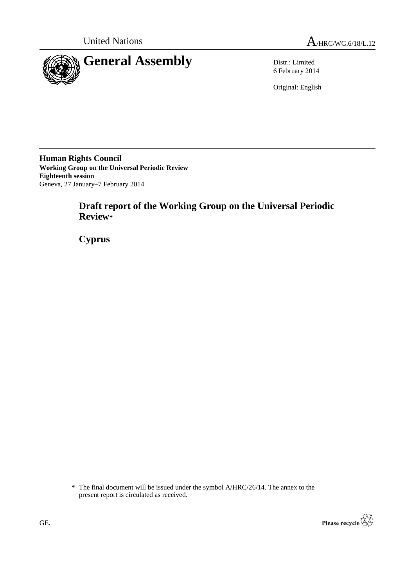

6 February 2014

Original: English

**Human Rights Council Working Group on the Universal Periodic Review Eighteenth session** Geneva, 27 January–7 February 2014

# **Draft report of the Working Group on the Universal Periodic Review\***

**Cyprus**

<sup>\*</sup> The final document will be issued under the symbol A/HRC/26/14. The annex to the present report is circulated as received.

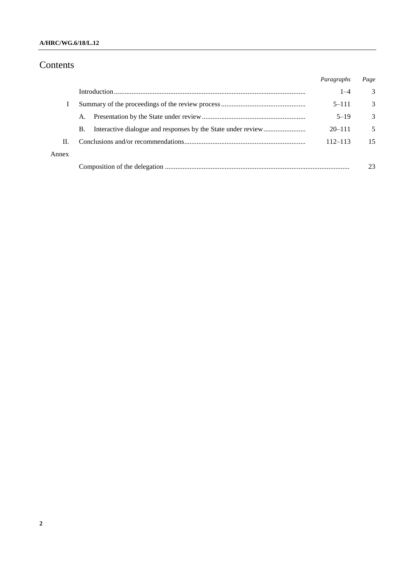### **A/HRC/WG.6/18/L.12**

# Contents

|       |           | Paragraphs  | Page          |
|-------|-----------|-------------|---------------|
|       |           | $1 - 4$     | 3             |
|       |           | $5 - 111$   | 3             |
|       | A.        | $5 - 19$    | $\mathcal{R}$ |
|       | <b>B.</b> | $20 - 111$  | 5             |
| Н.    |           | $112 - 113$ | 15            |
| Annex |           |             |               |
|       |           |             | 23            |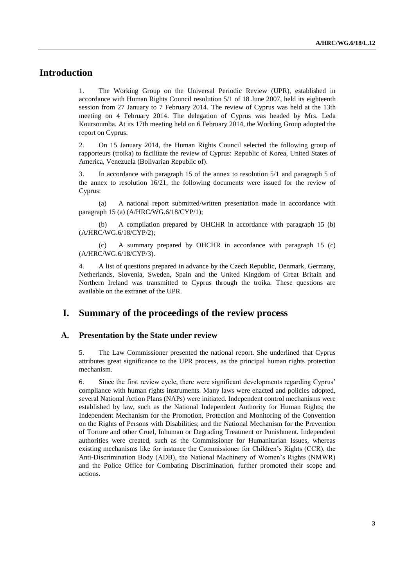## **Introduction**

1. The Working Group on the Universal Periodic Review (UPR), established in accordance with Human Rights Council resolution 5/1 of 18 June 2007, held its eighteenth session from 27 January to 7 February 2014. The review of Cyprus was held at the 13th meeting on 4 February 2014. The delegation of Cyprus was headed by Mrs. Leda Koursoumba. At its 17th meeting held on 6 February 2014, the Working Group adopted the report on Cyprus.

2. On 15 January 2014, the Human Rights Council selected the following group of rapporteurs (troika) to facilitate the review of Cyprus: Republic of Korea, United States of America, Venezuela (Bolivarian Republic of).

3. In accordance with paragraph 15 of the annex to resolution 5/1 and paragraph 5 of the annex to resolution 16/21, the following documents were issued for the review of Cyprus:

(a) A national report submitted/written presentation made in accordance with paragraph 15 (a) (A/HRC/WG.6/18/CYP/1);

(b) A compilation prepared by OHCHR in accordance with paragraph 15 (b) (A/HRC/WG.6/18/CYP/2);

(c) A summary prepared by OHCHR in accordance with paragraph 15 (c) (A/HRC/WG.6/18/CYP/3).

4. A list of questions prepared in advance by the Czech Republic, Denmark, Germany, Netherlands, Slovenia, Sweden, Spain and the United Kingdom of Great Britain and Northern Ireland was transmitted to Cyprus through the troika. These questions are available on the extranet of the UPR.

### **I. Summary of the proceedings of the review process**

#### **A. Presentation by the State under review**

5. The Law Commissioner presented the national report. She underlined that Cyprus attributes great significance to the UPR process, as the principal human rights protection mechanism.

6. Since the first review cycle, there were significant developments regarding Cyprus' compliance with human rights instruments. Many laws were enacted and policies adopted, several National Action Plans (NAPs) were initiated. Independent control mechanisms were established by law, such as the National Independent Authority for Human Rights; the Independent Mechanism for the Promotion, Protection and Monitoring of the Convention on the Rights of Persons with Disabilities; and the National Mechanism for the Prevention of Torture and other Cruel, Inhuman or Degrading Treatment or Punishment. Independent authorities were created, such as the Commissioner for Humanitarian Issues, whereas existing mechanisms like for instance the Commissioner for Children's Rights (CCR), the Anti-Discrimination Body (ADB), the National Machinery of Women's Rights (NMWR) and the Police Office for Combating Discrimination, further promoted their scope and actions.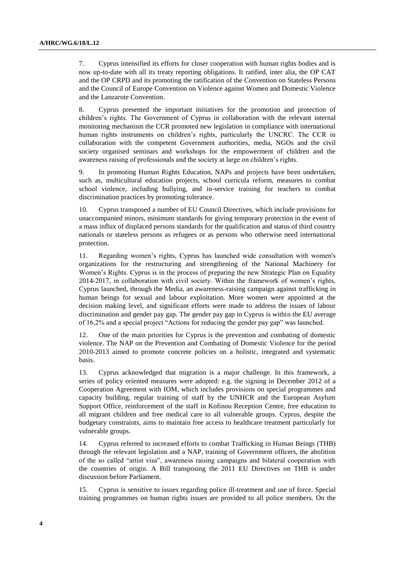7. Cyprus intensified its efforts for closer cooperation with human rights bodies and is now up-to-date with all its treaty reporting obligations. It ratified, inter alia, the OP CAT and the OP CRPD and its promoting the ratification of the Convention on Stateless Persons and the Council of Europe Convention on Violence against Women and Domestic Violence and the Lanzarote Convention.

8. Cyprus presented the important initiatives for the promotion and protection of children's rights. The Government of Cyprus in collaboration with the relevant internal monitoring mechanism the CCR promoted new legislation in compliance with international human rights instruments on children's rights, particularly the UNCRC. The CCR in collaboration with the competent Government authorities, media, NGOs and the civil society organised seminars and workshops for the empowerment of children and the awareness raising of professionals and the society at large on children's rights.

9. In promoting Human Rights Education, NAPs and projects have been undertaken, such as, multicultural education projects, school curricula reform, measures to combat school violence, including bullying, and in-service training for teachers to combat discrimination practices by promoting tolerance.

10. Cyprus transposed a number of EU Council Directives, which include provisions for unaccompanied minors, minimum standards for giving temporary protection in the event of a mass influx of displaced persons standards for the qualification and status of third country nationals or stateless persons as refugees or as persons who otherwise need international protection.

11. Regarding women's rights, Cyprus has launched wide consultation with women's organizations for the restructuring and strengthening of the National Machinery for Women's Rights. Cyprus is in the process of preparing the new Strategic Plan on Equality 2014-2017, in collaboration with civil society. Within the framework of women's rights, Cyprus launched, through the Media, an awareness-raising campaign against trafficking in human beings for sexual and labour exploitation. More women were appointed at the decision making level, and significant efforts were made to address the issues of labour discrimination and gender pay gap. The gender pay gap in Cyprus is within the EU average of 16,2% and a special project "Actions for reducing the gender pay gap" was launched.

12. One of the main priorities for Cyprus is the prevention and combating of domestic violence. The NAP on the Prevention and Combating of Domestic Violence for the period 2010-2013 aimed to promote concrete policies on a holistic, integrated and systematic basis.

13. Cyprus acknowledged that migration is a major challenge. In this framework, a series of policy oriented measures were adopted: e.g. the signing in December 2012 of a Cooperation Agreement with IOM, which includes provisions on special programmes and capacity building, regular training of staff by the UNHCR and the European Asylum Support Office, reinforcement of the staff in Kofinou Reception Centre, free education to all migrant children and free medical care to all vulnerable groups. Cyprus, despite the budgetary constraints, aims to maintain free access to healthcare treatment particularly for vulnerable groups.

14. Cyprus referred to increased efforts to combat Trafficking in Human Beings (THB) through the relevant legislation and a NAP, training of Government officers, the abolition of the so called "artist visa", awareness raising campaigns and bilateral cooperation with the countries of origin. A Bill transposing the 2011 EU Directives on THB is under discussion before Parliament.

15. Cyprus is sensitive to issues regarding police ill-treatment and use of force. Special training programmes on human rights issues are provided to all police members. On the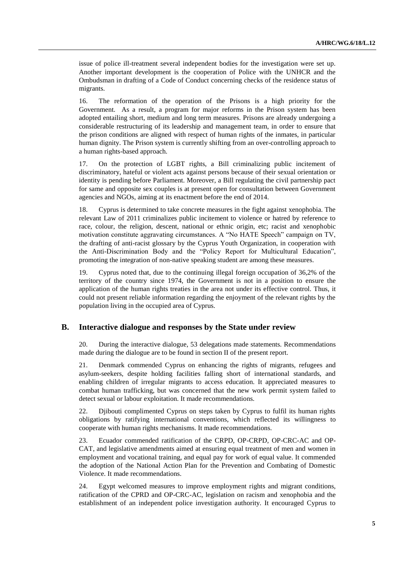issue of police ill-treatment several independent bodies for the investigation were set up. Another important development is the cooperation of Police with the UNHCR and the Ombudsman in drafting of a Code of Conduct concerning checks of the residence status of migrants.

16. The reformation of the operation of the Prisons is a high priority for the Government. As a result, a program for major reforms in the Prison system has been adopted entailing short, medium and long term measures. Prisons are already undergoing a considerable restructuring of its leadership and management team, in order to ensure that the prison conditions are aligned with respect of human rights of the inmates, in particular human dignity. The Prison system is currently shifting from an over-controlling approach to a human rights-based approach.

17. On the protection of LGBT rights, a Bill criminalizing public incitement of discriminatory, hateful or violent acts against persons because of their sexual orientation or identity is pending before Parliament. Moreover, a Bill regulating the civil partnership pact for same and opposite sex couples is at present open for consultation between Government agencies and NGOs, aiming at its enactment before the end of 2014.

18. Cyprus is determined to take concrete measures in the fight against xenophobia. The relevant Law of 2011 criminalizes public incitement to violence or hatred by reference to race, colour, the religion, descent, national or ethnic origin, etc; racist and xenophobic motivation constitute aggravating circumstances. A "No HATE Speech" campaign on TV, the drafting of anti-racist glossary by the Cyprus Youth Organization, in cooperation with the Anti-Discrimination Body and the "Policy Report for Multicultural Education", promoting the integration of non-native speaking student are among these measures.

19. Cyprus noted that, due to the continuing illegal foreign occupation of 36,2% of the territory of the country since 1974, the Government is not in a position to ensure the application of the human rights treaties in the area not under its effective control. Thus, it could not present reliable information regarding the enjoyment of the relevant rights by the population living in the occupied area of Cyprus.

### **B. Interactive dialogue and responses by the State under review**

20. During the interactive dialogue, 53 delegations made statements. Recommendations made during the dialogue are to be found in section II of the present report.

21. Denmark commended Cyprus on enhancing the rights of migrants, refugees and asylum-seekers, despite holding facilities falling short of international standards, and enabling children of irregular migrants to access education. It appreciated measures to combat human trafficking, but was concerned that the new work permit system failed to detect sexual or labour exploitation. It made recommendations.

22. Djibouti complimented Cyprus on steps taken by Cyprus to fulfil its human rights obligations by ratifying international conventions, which reflected its willingness to cooperate with human rights mechanisms. It made recommendations.

23. Ecuador commended ratification of the CRPD, OP-CRPD, OP-CRC-AC and OP-CAT, and legislative amendments aimed at ensuring equal treatment of men and women in employment and vocational training, and equal pay for work of equal value. It commended the adoption of the National Action Plan for the Prevention and Combating of Domestic Violence. It made recommendations.

24. Egypt welcomed measures to improve employment rights and migrant conditions, ratification of the CPRD and OP-CRC-AC, legislation on racism and xenophobia and the establishment of an independent police investigation authority. It encouraged Cyprus to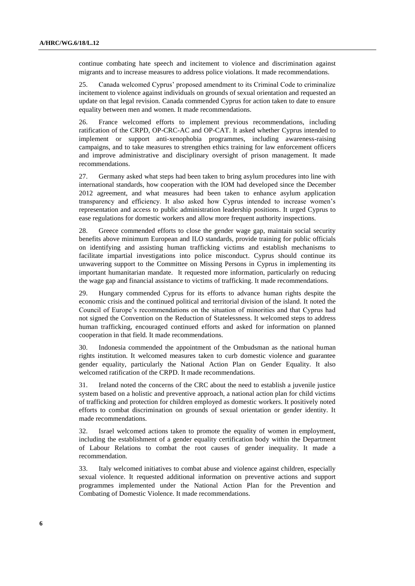continue combating hate speech and incitement to violence and discrimination against migrants and to increase measures to address police violations. It made recommendations.

25. Canada welcomed Cyprus' proposed amendment to its Criminal Code to criminalize incitement to violence against individuals on grounds of sexual orientation and requested an update on that legal revision. Canada commended Cyprus for action taken to date to ensure equality between men and women. It made recommendations.

26. France welcomed efforts to implement previous recommendations, including ratification of the CRPD, OP-CRC-AC and OP-CAT. It asked whether Cyprus intended to implement or support anti-xenophobia programmes, including awareness-raising campaigns, and to take measures to strengthen ethics training for law enforcement officers and improve administrative and disciplinary oversight of prison management. It made recommendations.

27. Germany asked what steps had been taken to bring asylum procedures into line with international standards, how cooperation with the IOM had developed since the December 2012 agreement, and what measures had been taken to enhance asylum application transparency and efficiency. It also asked how Cyprus intended to increase women's representation and access to public administration leadership positions. It urged Cyprus to ease regulations for domestic workers and allow more frequent authority inspections.

28. Greece commended efforts to close the gender wage gap, maintain social security benefits above minimum European and ILO standards, provide training for public officials on identifying and assisting human trafficking victims and establish mechanisms to facilitate impartial investigations into police misconduct. Cyprus should continue its unwavering support to the Committee on Missing Persons in Cyprus in implementing its important humanitarian mandate. It requested more information, particularly on reducing the wage gap and financial assistance to victims of trafficking. It made recommendations.

29. Hungary commended Cyprus for its efforts to advance human rights despite the economic crisis and the continued political and territorial division of the island. It noted the Council of Europe's recommendations on the situation of minorities and that Cyprus had not signed the Convention on the Reduction of Statelessness. It welcomed steps to address human trafficking, encouraged continued efforts and asked for information on planned cooperation in that field. It made recommendations.

30. Indonesia commended the appointment of the Ombudsman as the national human rights institution. It welcomed measures taken to curb domestic violence and guarantee gender equality, particularly the National Action Plan on Gender Equality. It also welcomed ratification of the CRPD. It made recommendations.

31. Ireland noted the concerns of the CRC about the need to establish a juvenile justice system based on a holistic and preventive approach, a national action plan for child victims of trafficking and protection for children employed as domestic workers. It positively noted efforts to combat discrimination on grounds of sexual orientation or gender identity. It made recommendations.

32. Israel welcomed actions taken to promote the equality of women in employment, including the establishment of a gender equality certification body within the Department of Labour Relations to combat the root causes of gender inequality. It made a recommendation.

33. Italy welcomed initiatives to combat abuse and violence against children, especially sexual violence. It requested additional information on preventive actions and support programmes implemented under the National Action Plan for the Prevention and Combating of Domestic Violence. It made recommendations.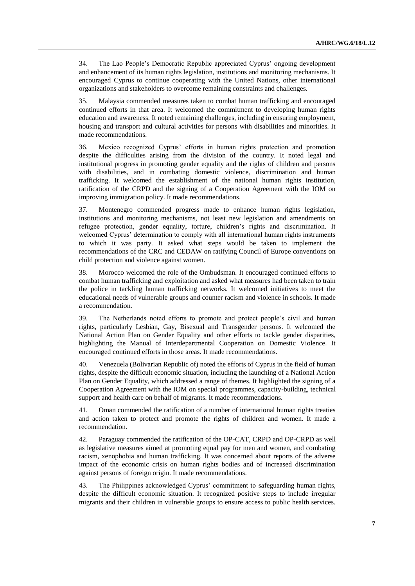34. The Lao People's Democratic Republic appreciated Cyprus' ongoing development and enhancement of its human rights legislation, institutions and monitoring mechanisms. It encouraged Cyprus to continue cooperating with the United Nations, other international organizations and stakeholders to overcome remaining constraints and challenges.

35. Malaysia commended measures taken to combat human trafficking and encouraged continued efforts in that area. It welcomed the commitment to developing human rights education and awareness. It noted remaining challenges, including in ensuring employment, housing and transport and cultural activities for persons with disabilities and minorities. It made recommendations.

36. Mexico recognized Cyprus' efforts in human rights protection and promotion despite the difficulties arising from the division of the country. It noted legal and institutional progress in promoting gender equality and the rights of children and persons with disabilities, and in combating domestic violence, discrimination and human trafficking. It welcomed the establishment of the national human rights institution, ratification of the CRPD and the signing of a Cooperation Agreement with the IOM on improving immigration policy. It made recommendations.

37. Montenegro commended progress made to enhance human rights legislation, institutions and monitoring mechanisms, not least new legislation and amendments on refugee protection, gender equality, torture, children's rights and discrimination. It welcomed Cyprus' determination to comply with all international human rights instruments to which it was party. It asked what steps would be taken to implement the recommendations of the CRC and CEDAW on ratifying Council of Europe conventions on child protection and violence against women.

38. Morocco welcomed the role of the Ombudsman. It encouraged continued efforts to combat human trafficking and exploitation and asked what measures had been taken to train the police in tackling human trafficking networks. It welcomed initiatives to meet the educational needs of vulnerable groups and counter racism and violence in schools. It made a recommendation.

39. The Netherlands noted efforts to promote and protect people's civil and human rights, particularly Lesbian, Gay, Bisexual and Transgender persons. It welcomed the National Action Plan on Gender Equality and other efforts to tackle gender disparities, highlighting the Manual of Interdepartmental Cooperation on Domestic Violence. It encouraged continued efforts in those areas. It made recommendations.

40. Venezuela (Bolivarian Republic of) noted the efforts of Cyprus in the field of human rights, despite the difficult economic situation, including the launching of a National Action Plan on Gender Equality, which addressed a range of themes. It highlighted the signing of a Cooperation Agreement with the IOM on special programmes, capacity-building, technical support and health care on behalf of migrants. It made recommendations.

41. Oman commended the ratification of a number of international human rights treaties and action taken to protect and promote the rights of children and women. It made a recommendation.

42. Paraguay commended the ratification of the OP-CAT, CRPD and OP-CRPD as well as legislative measures aimed at promoting equal pay for men and women, and combating racism, xenophobia and human trafficking. It was concerned about reports of the adverse impact of the economic crisis on human rights bodies and of increased discrimination against persons of foreign origin. It made recommendations.

43. The Philippines acknowledged Cyprus' commitment to safeguarding human rights, despite the difficult economic situation. It recognized positive steps to include irregular migrants and their children in vulnerable groups to ensure access to public health services.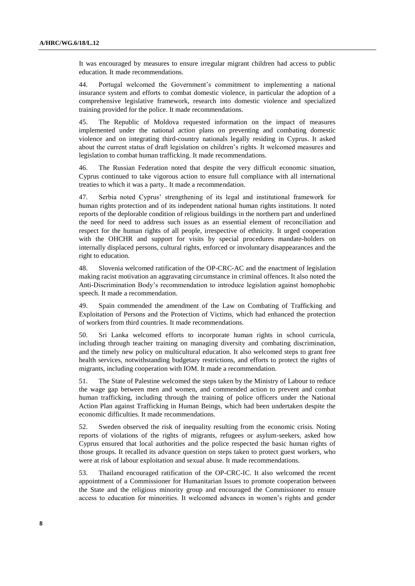It was encouraged by measures to ensure irregular migrant children had access to public education. It made recommendations.

44. Portugal welcomed the Government's commitment to implementing a national insurance system and efforts to combat domestic violence, in particular the adoption of a comprehensive legislative framework, research into domestic violence and specialized training provided for the police. It made recommendations.

45. The Republic of Moldova requested information on the impact of measures implemented under the national action plans on preventing and combating domestic violence and on integrating third-country nationals legally residing in Cyprus. It asked about the current status of draft legislation on children's rights. It welcomed measures and legislation to combat human trafficking. It made recommendations.

46. The Russian Federation noted that despite the very difficult economic situation, Cyprus continued to take vigorous action to ensure full compliance with all international treaties to which it was a party.. It made a recommendation.

47. Serbia noted Cyprus' strengthening of its legal and institutional framework for human rights protection and of its independent national human rights institutions. It noted reports of the deplorable condition of religious buildings in the northern part and underlined the need for need to address such issues as an essential element of reconciliation and respect for the human rights of all people, irrespective of ethnicity. It urged cooperation with the OHCHR and support for visits by special procedures mandate-holders on internally displaced persons, cultural rights, enforced or involuntary disappearances and the right to education.

48. Slovenia welcomed ratification of the OP-CRC-AC and the enactment of legislation making racist motivation an aggravating circumstance in criminal offences. It also noted the Anti-Discrimination Body's recommendation to introduce legislation against homophobic speech. It made a recommendation.

49. Spain commended the amendment of the Law on Combating of Trafficking and Exploitation of Persons and the Protection of Victims, which had enhanced the protection of workers from third countries. It made recommendations.

50. Sri Lanka welcomed efforts to incorporate human rights in school curricula, including through teacher training on managing diversity and combating discrimination, and the timely new policy on multicultural education. It also welcomed steps to grant free health services, notwithstanding budgetary restrictions, and efforts to protect the rights of migrants, including cooperation with IOM. It made a recommendation.

51. The State of Palestine welcomed the steps taken by the Ministry of Labour to reduce the wage gap between men and women, and commended action to prevent and combat human trafficking, including through the training of police officers under the National Action Plan against Trafficking in Human Beings, which had been undertaken despite the economic difficulties. It made recommendations.

52. Sweden observed the risk of inequality resulting from the economic crisis. Noting reports of violations of the rights of migrants, refugees or asylum-seekers, asked how Cyprus ensured that local authorities and the police respected the basic human rights of those groups. It recalled its advance question on steps taken to protect guest workers, who were at risk of labour exploitation and sexual abuse. It made recommendations.

53. Thailand encouraged ratification of the OP-CRC-IC. It also welcomed the recent appointment of a Commissioner for Humanitarian Issues to promote cooperation between the State and the religious minority group and encouraged the Commissioner to ensure access to education for minorities. It welcomed advances in women's rights and gender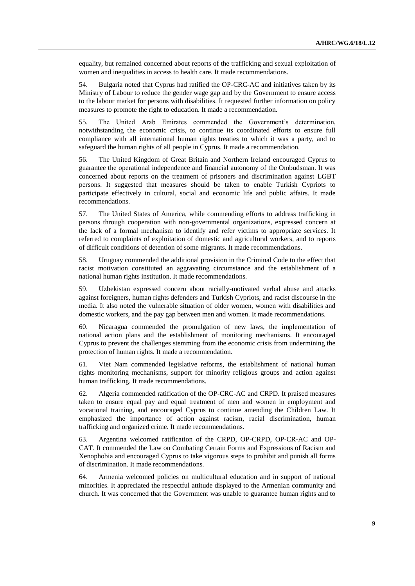equality, but remained concerned about reports of the trafficking and sexual exploitation of women and inequalities in access to health care. It made recommendations.

54. Bulgaria noted that Cyprus had ratified the OP-CRC-AC and initiatives taken by its Ministry of Labour to reduce the gender wage gap and by the Government to ensure access to the labour market for persons with disabilities. It requested further information on policy measures to promote the right to education. It made a recommendation.

55. The United Arab Emirates commended the Government's determination, notwithstanding the economic crisis, to continue its coordinated efforts to ensure full compliance with all international human rights treaties to which it was a party, and to safeguard the human rights of all people in Cyprus. It made a recommendation.

56. The United Kingdom of Great Britain and Northern Ireland encouraged Cyprus to guarantee the operational independence and financial autonomy of the Ombudsman. It was concerned about reports on the treatment of prisoners and discrimination against LGBT persons. It suggested that measures should be taken to enable Turkish Cypriots to participate effectively in cultural, social and economic life and public affairs. It made recommendations.

57. The United States of America, while commending efforts to address trafficking in persons through cooperation with non-governmental organizations, expressed concern at the lack of a formal mechanism to identify and refer victims to appropriate services. It referred to complaints of exploitation of domestic and agricultural workers, and to reports of difficult conditions of detention of some migrants. It made recommendations.

58. Uruguay commended the additional provision in the Criminal Code to the effect that racist motivation constituted an aggravating circumstance and the establishment of a national human rights institution. It made recommendations.

59. Uzbekistan expressed concern about racially-motivated verbal abuse and attacks against foreigners, human rights defenders and Turkish Cypriots, and racist discourse in the media. It also noted the vulnerable situation of older women, women with disabilities and domestic workers, and the pay gap between men and women. It made recommendations.

60. Nicaragua commended the promulgation of new laws, the implementation of national action plans and the establishment of monitoring mechanisms. It encouraged Cyprus to prevent the challenges stemming from the economic crisis from undermining the protection of human rights. It made a recommendation.

61. Viet Nam commended legislative reforms, the establishment of national human rights monitoring mechanisms, support for minority religious groups and action against human trafficking. It made recommendations.

62. Algeria commended ratification of the OP-CRC-AC and CRPD. It praised measures taken to ensure equal pay and equal treatment of men and women in employment and vocational training, and encouraged Cyprus to continue amending the Children Law. It emphasized the importance of action against racism, racial discrimination, human trafficking and organized crime. It made recommendations.

63. Argentina welcomed ratification of the CRPD, OP-CRPD, OP-CR-AC and OP-CAT. It commended the Law on Combating Certain Forms and Expressions of Racism and Xenophobia and encouraged Cyprus to take vigorous steps to prohibit and punish all forms of discrimination. It made recommendations.

64. Armenia welcomed policies on multicultural education and in support of national minorities. It appreciated the respectful attitude displayed to the Armenian community and church. It was concerned that the Government was unable to guarantee human rights and to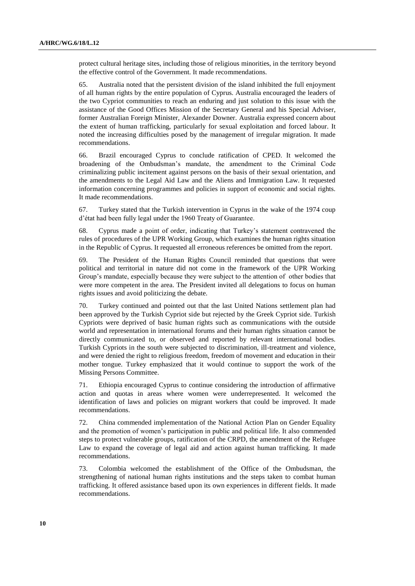protect cultural heritage sites, including those of religious minorities, in the territory beyond the effective control of the Government. It made recommendations.

65. Australia noted that the persistent division of the island inhibited the full enjoyment of all human rights by the entire population of Cyprus. Australia encouraged the leaders of the two Cypriot communities to reach an enduring and just solution to this issue with the assistance of the Good Offices Mission of the Secretary General and his Special Adviser, former Australian Foreign Minister, Alexander Downer. Australia expressed concern about the extent of human trafficking, particularly for sexual exploitation and forced labour. It noted the increasing difficulties posed by the management of irregular migration. It made recommendations.

66. Brazil encouraged Cyprus to conclude ratification of CPED. It welcomed the broadening of the Ombudsman's mandate, the amendment to the Criminal Code criminalizing public incitement against persons on the basis of their sexual orientation, and the amendments to the Legal Aid Law and the Aliens and Immigration Law. It requested information concerning programmes and policies in support of economic and social rights. It made recommendations.

67. Turkey stated that the Turkish intervention in Cyprus in the wake of the 1974 coup d'état had been fully legal under the 1960 Treaty of Guarantee.

68. Cyprus made a point of order, indicating that Turkey's statement contravened the rules of procedures of the UPR Working Group, which examines the human rights situation in the Republic of Cyprus. It requested all erroneous references be omitted from the report.

69. The President of the Human Rights Council reminded that questions that were political and territorial in nature did not come in the framework of the UPR Working Group's mandate, especially because they were subject to the attention of other bodies that were more competent in the area. The President invited all delegations to focus on human rights issues and avoid politicizing the debate.

70. Turkey continued and pointed out that the last United Nations settlement plan had been approved by the Turkish Cypriot side but rejected by the Greek Cypriot side. Turkish Cypriots were deprived of basic human rights such as communications with the outside world and representation in international forums and their human rights situation cannot be directly communicated to, or observed and reported by relevant international bodies. Turkish Cypriots in the south were subjected to discrimination, ill-treatment and violence, and were denied the right to religious freedom, freedom of movement and education in their mother tongue. Turkey emphasized that it would continue to support the work of the Missing Persons Committee.

71. Ethiopia encouraged Cyprus to continue considering the introduction of affirmative action and quotas in areas where women were underrepresented. It welcomed the identification of laws and policies on migrant workers that could be improved. It made recommendations.

72. China commended implementation of the National Action Plan on Gender Equality and the promotion of women's participation in public and political life. It also commended steps to protect vulnerable groups, ratification of the CRPD, the amendment of the Refugee Law to expand the coverage of legal aid and action against human trafficking. It made recommendations.

73. Colombia welcomed the establishment of the Office of the Ombudsman, the strengthening of national human rights institutions and the steps taken to combat human trafficking. It offered assistance based upon its own experiences in different fields. It made recommendations.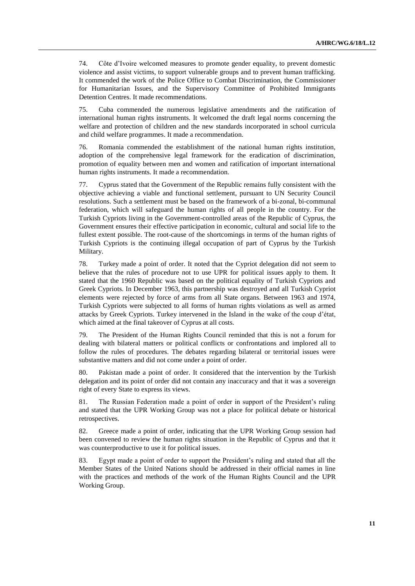74. Côte d'Ivoire welcomed measures to promote gender equality, to prevent domestic violence and assist victims, to support vulnerable groups and to prevent human trafficking. It commended the work of the Police Office to Combat Discrimination, the Commissioner for Humanitarian Issues, and the Supervisory Committee of Prohibited Immigrants Detention Centres. It made recommendations.

75. Cuba commended the numerous legislative amendments and the ratification of international human rights instruments. It welcomed the draft legal norms concerning the welfare and protection of children and the new standards incorporated in school curricula and child welfare programmes. It made a recommendation.

76. Romania commended the establishment of the national human rights institution, adoption of the comprehensive legal framework for the eradication of discrimination, promotion of equality between men and women and ratification of important international human rights instruments. It made a recommendation.

77. Cyprus stated that the Government of the Republic remains fully consistent with the objective achieving a viable and functional settlement, pursuant to UN Security Council resolutions. Such a settlement must be based on the framework of a bi-zonal, bi-communal federation, which will safeguard the human rights of all people in the country. For the Turkish Cypriots living in the Government-controlled areas of the Republic of Cyprus, the Government ensures their effective participation in economic, cultural and social life to the fullest extent possible. The root-cause of the shortcomings in terms of the human rights of Turkish Cypriots is the continuing illegal occupation of part of Cyprus by the Turkish Military.

78. Turkey made a point of order. It noted that the Cypriot delegation did not seem to believe that the rules of procedure not to use UPR for political issues apply to them. It stated that the 1960 Republic was based on the political equality of Turkish Cypriots and Greek Cypriots. In December 1963, this partnership was destroyed and all Turkish Cypriot elements were rejected by force of arms from all State organs. Between 1963 and 1974, Turkish Cypriots were subjected to all forms of human rights violations as well as armed attacks by Greek Cypriots. Turkey intervened in the Island in the wake of the coup d'état, which aimed at the final takeover of Cyprus at all costs.

79. The President of the Human Rights Council reminded that this is not a forum for dealing with bilateral matters or political conflicts or confrontations and implored all to follow the rules of procedures. The debates regarding bilateral or territorial issues were substantive matters and did not come under a point of order.

80. Pakistan made a point of order. It considered that the intervention by the Turkish delegation and its point of order did not contain any inaccuracy and that it was a sovereign right of every State to express its views.

81. The Russian Federation made a point of order in support of the President's ruling and stated that the UPR Working Group was not a place for political debate or historical retrospectives.

82. Greece made a point of order, indicating that the UPR Working Group session had been convened to review the human rights situation in the Republic of Cyprus and that it was counterproductive to use it for political issues.

83. Egypt made a point of order to support the President's ruling and stated that all the Member States of the United Nations should be addressed in their official names in line with the practices and methods of the work of the Human Rights Council and the UPR Working Group.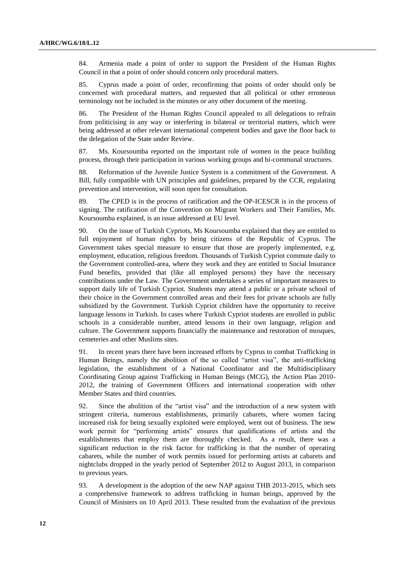84. Armenia made a point of order to support the President of the Human Rights Council in that a point of order should concern only procedural matters.

85. Cyprus made a point of order, reconfirming that points of order should only be concerned with procedural matters, and requested that all political or other erroneous terminology not be included in the minutes or any other document of the meeting.

86. The President of the Human Rights Council appealed to all delegations to refrain from politicising in any way or interfering in bilateral or territorial matters, which were being addressed at other relevant international competent bodies and gave the floor back to the delegation of the State under Review.

87. Ms. Koursoumba reported on the important role of women in the peace building process, through their participation in various working groups and bi-communal structures.

88. Reformation of the Juvenile Justice System is a commitment of the Government. A Bill, fully compatible with UN principles and guidelines, prepared by the CCR, regulating prevention and intervention, will soon open for consultation.

89. The CPED is in the process of ratification and the OP-ICESCR is in the process of signing. The ratification of the Convention on Migrant Workers and Their Families, Ms. Koursoumba explained, is an issue addressed at EU level.

90. On the issue of Turkish Cypriots, Ms Koursoumba explained that they are entitled to full enjoyment of human rights by being citizens of the Republic of Cyprus. The Government takes special measure to ensure that those are properly implemented, e.g. employment, education, religious freedom. Thousands of Turkish Cypriot commute daily to the Government controlled-area, where they work and they are entitled to Social Insurance Fund benefits, provided that (like all employed persons) they have the necessary contributions under the Law. The Government undertakes a series of important measures to support daily life of Turkish Cypriot. Students may attend a public or a private school of their choice in the Government controlled areas and their fees for private schools are fully subsidized by the Government. Turkish Cypriot children have the opportunity to receive language lessons in Turkish. In cases where Turkish Cypriot students are enrolled in public schools in a considerable number, attend lessons in their own language, religion and culture. The Government supports financially the maintenance and restoration of mosques, cemeteries and other Muslims sites.

91. In recent years there have been increased efforts by Cyprus to combat Trafficking in Human Beings, namely the abolition of the so called "artist visa", the anti-trafficking legislation, the establishment of a National Coordinator and the Multidisciplinary Coordinating Group against Trafficking in Human Beings (MCG), the Action Plan 2010- 2012, the training of Government Officers and international cooperation with other Member States and third countries.

92. Since the abolition of the "artist visa" and the introduction of a new system with stringent criteria, numerous establishments, primarily cabarets, where women facing increased risk for being sexually exploited were employed, went out of business. The new work permit for "performing artists" ensures that qualifications of artists and the establishments that employ them are thoroughly checked. As a result, there was a significant reduction in the risk factor for trafficking in that the number of operating cabarets, while the number of work permits issued for performing artists at cabarets and nightclubs dropped in the yearly period of September 2012 to August 2013, in comparison to previous years.

93. A development is the adoption of the new NAP against THB 2013-2015, which sets a comprehensive framework to address trafficking in human beings, approved by the Council of Ministers on 10 April 2013. These resulted from the evaluation of the previous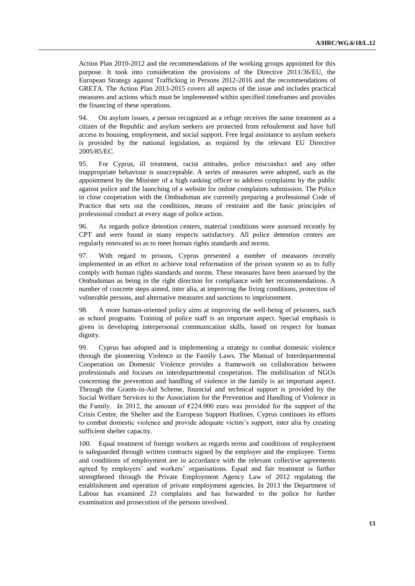Action Plan 2010-2012 and the recommendations of the working groups appointed for this purpose. It took into consideration the provisions of the Directive 2011/36/EU, the European Strategy against Trafficking in Persons 2012-2016 and the recommendations of GRETA. The Action Plan 2013-2015 covers all aspects of the issue and includes practical measures and actions which must be implemented within specified timeframes and provides the financing of these operations.

94. On asylum issues, a person recognized as a refuge receives the same treatment as a citizen of the Republic and asylum seekers are protected from refoulement and have full access to housing, employment, and social support. Free legal assistance to asylum seekers is provided by the national legislation, as required by the relevant EU Directive 2005/85/EC.

95. For Cyprus, ill treatment, racist attitudes, police misconduct and any other inappropriate behaviour is unacceptable. A series of measures were adopted, such as the appointment by the Minister of a high ranking officer to address complaints by the public against police and the launching of a website for online complaints submission. The Police in close cooperation with the Ombudsman are currently preparing a professional Code of Practice that sets out the conditions, means of restraint and the basic principles of professional conduct at every stage of police action.

96. As regards police detention centers, material conditions were assessed recently by CPT and were found in many respects satisfactory. All police detention centers are regularly renovated so as to meet human rights standards and norms.

97. With regard to prisons, Cyprus presented a number of measures recently implemented in an effort to achieve total reformation of the prison system so as to fully comply with human rights standards and norms. These measures have been assessed by the Ombudsman as being in the right direction for compliance with her recommendations. A number of concrete steps aimed, inter alia, at improving the living conditions, protection of vulnerable persons, and alternative measures and sanctions to imprisonment.

98. A more human-oriented policy aims at improving the well-being of prisoners, such as school programs. Training of police staff is an important aspect. Special emphasis is given in developing interpersonal communication skills, based on respect for human dignity.

99. Cyprus has adopted and is implementing a strategy to combat domestic violence through the pioneering Violence in the Family Laws. The Manual of Interdepartmental Cooperation on Domestic Violence provides a framework on collaboration between professionals and focuses on interdepartmental cooperation. The mobilisation of NGOs concerning the prevention and handling of violence in the family is an important aspect. Through the Grants-in-Aid Scheme, financial and technical support is provided by the Social Welfare Services to the Association for the Prevention and Handling of Violence in the Family. In 2012, the amount of €224.000 euro was provided for the support of the Crisis Centre, the Shelter and the European Support Hotlines. Cyprus continues its efforts to combat domestic violence and provide adequate victim's support, inter alia by creating sufficient shelter capacity.

100. Equal treatment of foreign workers as regards terms and conditions of employment is safeguarded through written contracts signed by the employer and the employee. Terms and conditions of employment are in accordance with the relevant collective agreements agreed by employers' and workers' organisations. Equal and fair treatment is further strengthened through the Private Employment Agency Law of 2012 regulating the establishment and operation of private employment agencies. In 2013 the Department of Labour has examined 23 complaints and has forwarded to the police for further examination and prosecution of the persons involved.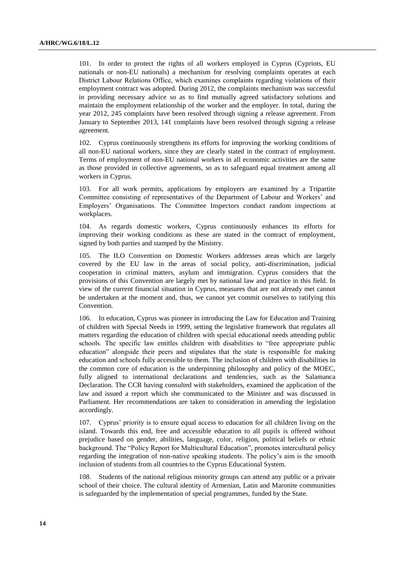101. In order to protect the rights of all workers employed in Cyprus (Cypriots, EU nationals or non-EU nationals) a mechanism for resolving complaints operates at each District Labour Relations Οffice, which examines complaints regarding violations of their employment contract was adopted. During 2012, the complaints mechanism was successful in providing necessary advice so as to find mutually agreed satisfactory solutions and maintain the employment relationship of the worker and the employer. In total, during the year 2012, 245 complaints have been resolved through signing a release agreement. From January to September 2013, 141 complaints have been resolved through signing a release agreement.

102. Cyprus continuously strengthens its efforts for improving the working conditions of all non-EU national workers, since they are clearly stated in the contract of employment. Terms of employment of non-EU national workers in all economic activities are the same as those provided in collective agreements, so as to safeguard equal treatment among all workers in Cyprus.

103. For all work permits, applications by employers are examined by a Tripartite Committee consisting of representatives of the Department of Labour and Workers' and Employers' Organisations. The Committee Inspectors conduct random inspections at workplaces.

104. As regards domestic workers, Cyprus continuously enhances its efforts for improving their working conditions as these are stated in the contract of employment, signed by both parties and stamped by the Ministry.

105. The ILO Convention on Domestic Workers addresses areas which are largely covered by the EU law in the areas of social policy, anti-discrimination, judicial cooperation in criminal matters, asylum and immigration. Cyprus considers that the provisions of this Convention are largely met by national law and practice in this field. In view of the current financial situation in Cyprus, measures that are not already met cannot be undertaken at the moment and, thus, we cannot yet commit ourselves to ratifying this Convention.

106. In education, Cyprus was pioneer in introducing the Law for Education and Training of children with Special Needs in 1999, setting the legislative framework that regulates all matters regarding the education of children with special educational needs attending public schools. The specific law entitles children with disabilities to "free appropriate public education" alongside their peers and stipulates that the state is responsible for making education and schools fully accessible to them. The inclusion of children with disabilities in the common core of education is the underpinning philosophy and policy of the MOEC, fully aligned to international declarations and tendencies, such as the Salamanca Declaration. The CCR having consulted with stakeholders, examined the application of the law and issued a report which she communicated to the Minister and was discussed in Parliament. Her recommendations are taken to consideration in amending the legislation accordingly.

107. Cyprus' priority is to ensure equal access to education for all children living on the island. Towards this end, free and accessible education to all pupils is offered without prejudice based on gender, abilities, language, color, religion, political beliefs or ethnic background. The "Policy Report for Multicultural Education", promotes intercultural policy regarding the integration of non-native speaking students. The policy's aim is the smooth inclusion of students from all countries to the Cyprus Educational System.

108. Students of the national religious minority groups can attend any public or a private school of their choice. The cultural identity of Armenian, Latin and Maronite communities is safeguarded by the implementation of special programmes, funded by the State.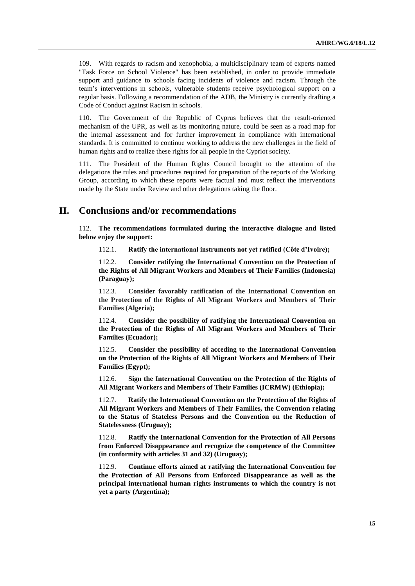109. With regards to racism and xenophobia, a multidisciplinary team of experts named "Task Force on School Violence" has been established, in order to provide immediate support and guidance to schools facing incidents of violence and racism. Through the team's interventions in schools, vulnerable students receive psychological support on a regular basis. Following a recommendation of the ADB, the Ministry is currently drafting a Code of Conduct against Racism in schools.

110. The Government of the Republic of Cyprus believes that the result-oriented mechanism of the UPR, as well as its monitoring nature, could be seen as a road map for the internal assessment and for further improvement in compliance with international standards. It is committed to continue working to address the new challenges in the field of human rights and to realize these rights for all people in the Cypriot society.

111. The President of the Human Rights Council brought to the attention of the delegations the rules and procedures required for preparation of the reports of the Working Group, according to which these reports were factual and must reflect the interventions made by the State under Review and other delegations taking the floor.

## **II. Conclusions and/or recommendations**

112. **The recommendations formulated during the interactive dialogue and listed below enjoy the support:**

112.1. **Ratify the international instruments not yet ratified (Côte d'Ivoire);**

112.2. **Consider ratifying the International Convention on the Protection of the Rights of All Migrant Workers and Members of Their Families (Indonesia) (Paraguay);**

112.3. **Consider favorably ratification of the International Convention on the Protection of the Rights of All Migrant Workers and Members of Their Families (Algeria);**

112.4. **Consider the possibility of ratifying the International Convention on the Protection of the Rights of All Migrant Workers and Members of Their Families (Ecuador);**

112.5. **Consider the possibility of acceding to the International Convention on the Protection of the Rights of All Migrant Workers and Members of Their Families (Egypt);**

112.6. **Sign the International Convention on the Protection of the Rights of All Migrant Workers and Members of Their Families (ICRMW) (Ethiopia);**

112.7. **Ratify the International Convention on the Protection of the Rights of All Migrant Workers and Members of Their Families, the Convention relating to the Status of Stateless Persons and the Convention on the Reduction of Statelessness (Uruguay);**

112.8. **Ratify the International Convention for the Protection of All Persons from Enforced Disappearance and recognize the competence of the Committee (in conformity with articles 31 and 32) (Uruguay);**

112.9. **Continue efforts aimed at ratifying the International Convention for the Protection of All Persons from Enforced Disappearance as well as the principal international human rights instruments to which the country is not yet a party (Argentina);**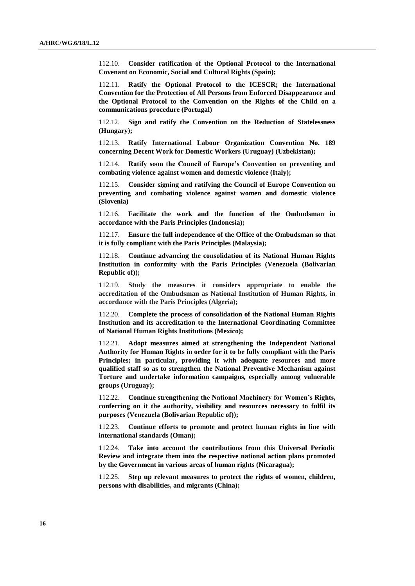112.10. **Consider ratification of the Optional Protocol to the International Covenant on Economic, Social and Cultural Rights (Spain);**

112.11. **Ratify the Optional Protocol to the ICESCR; the International Convention for the Protection of All Persons from Enforced Disappearance and the Optional Protocol to the Convention on the Rights of the Child on a communications procedure (Portugal)**

112.12. **Sign and ratify the Convention on the Reduction of Statelessness (Hungary);**

112.13. **Ratify International Labour Organization Convention No. 189 concerning Decent Work for Domestic Workers (Uruguay) (Uzbekistan);**

112.14. **Ratify soon the Council of Europe's Convention on preventing and combating violence against women and domestic violence (Italy);**

112.15. **Consider signing and ratifying the Council of Europe Convention on preventing and combating violence against women and domestic violence (Slovenia)**

112.16. **Facilitate the work and the function of the Ombudsman in accordance with the Paris Principles (Indonesia);**

112.17. **Ensure the full independence of the Office of the Ombudsman so that it is fully compliant with the Paris Principles (Malaysia);**

112.18. **Continue advancing the consolidation of its National Human Rights Institution in conformity with the Paris Principles (Venezuela (Bolivarian Republic of));**

112.19. **Study the measures it considers appropriate to enable the accreditation of the Ombudsman as National Institution of Human Rights, in accordance with the Paris Principles (Algeria);**

112.20. **Complete the process of consolidation of the National Human Rights Institution and its accreditation to the International Coordinating Committee of National Human Rights Institutions (Mexico);**

112.21. **Adopt measures aimed at strengthening the Independent National Authority for Human Rights in order for it to be fully compliant with the Paris Principles; in particular, providing it with adequate resources and more qualified staff so as to strengthen the National Preventive Mechanism against Torture and undertake information campaigns, especially among vulnerable groups (Uruguay);**

112.22. **Continue strengthening the National Machinery for Women's Rights, conferring on it the authority, visibility and resources necessary to fulfil its purposes (Venezuela (Bolivarian Republic of));**

112.23. **Continue efforts to promote and protect human rights in line with international standards (Oman);**

112.24. **Take into account the contributions from this Universal Periodic Review and integrate them into the respective national action plans promoted by the Government in various areas of human rights (Nicaragua);**

112.25. **Step up relevant measures to protect the rights of women, children, persons with disabilities, and migrants (China);**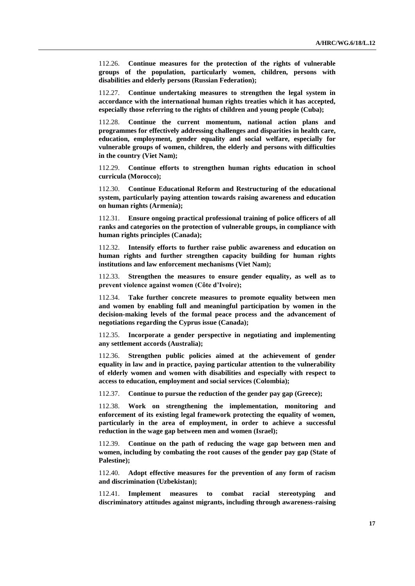112.26. **Continue measures for the protection of the rights of vulnerable groups of the population, particularly women, children, persons with disabilities and elderly persons (Russian Federation);**

112.27. **Continue undertaking measures to strengthen the legal system in accordance with the international human rights treaties which it has accepted, especially those referring to the rights of children and young people (Cuba);**

112.28. **Continue the current momentum, national action plans and programmes for effectively addressing challenges and disparities in health care, education, employment, gender equality and social welfare, especially for vulnerable groups of women, children, the elderly and persons with difficulties in the country (Viet Nam);**

112.29. **Continue efforts to strengthen human rights education in school curricula (Morocco);**

112.30. **Continue Educational Reform and Restructuring of the educational system, particularly paying attention towards raising awareness and education on human rights (Armenia);**

112.31. **Ensure ongoing practical professional training of police officers of all ranks and categories on the protection of vulnerable groups, in compliance with human rights principles (Canada);**

112.32. **Intensify efforts to further raise public awareness and education on human rights and further strengthen capacity building for human rights institutions and law enforcement mechanisms (Viet Nam);**

112.33. **Strengthen the measures to ensure gender equality, as well as to prevent violence against women (Côte d'Ivoire);**

112.34. **Take further concrete measures to promote equality between men and women by enabling full and meaningful participation by women in the decision-making levels of the formal peace process and the advancement of negotiations regarding the Cyprus issue (Canada);**

112.35. **Incorporate a gender perspective in negotiating and implementing any settlement accords (Australia);**

112.36. **Strengthen public policies aimed at the achievement of gender equality in law and in practice, paying particular attention to the vulnerability of elderly women and women with disabilities and especially with respect to access to education, employment and social services (Colombia);**

112.37. **Continue to pursue the reduction of the gender pay gap (Greece);**

112.38. **Work on strengthening the implementation, monitoring and enforcement of its existing legal framework protecting the equality of women, particularly in the area of employment, in order to achieve a successful reduction in the wage gap between men and women (Israel);**

112.39. **Continue on the path of reducing the wage gap between men and women, including by combating the root causes of the gender pay gap (State of Palestine);**

112.40. **Adopt effective measures for the prevention of any form of racism and discrimination (Uzbekistan);**

112.41. **Implement measures to combat racial stereotyping and discriminatory attitudes against migrants, including through awareness-raising**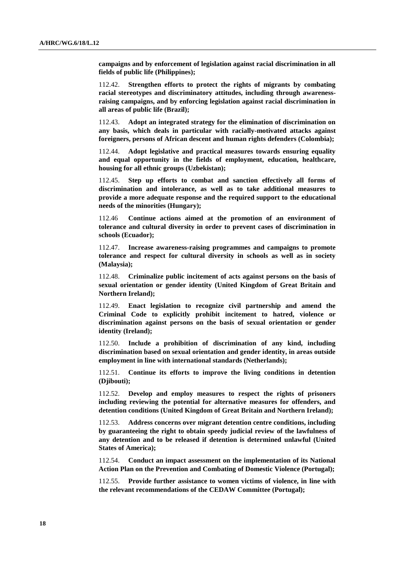**campaigns and by enforcement of legislation against racial discrimination in all fields of public life (Philippines);** 

112.42. **Strengthen efforts to protect the rights of migrants by combating racial stereotypes and discriminatory attitudes, including through awarenessraising campaigns, and by enforcing legislation against racial discrimination in all areas of public life (Brazil);**

112.43. **Adopt an integrated strategy for the elimination of discrimination on any basis, which deals in particular with racially-motivated attacks against foreigners, persons of African descent and human rights defenders (Colombia);**

112.44. **Adopt legislative and practical measures towards ensuring equality and equal opportunity in the fields of employment, education, healthcare, housing for all ethnic groups (Uzbekistan);**

112.45. **Step up efforts to combat and sanction effectively all forms of discrimination and intolerance, as well as to take additional measures to provide a more adequate response and the required support to the educational needs of the minorities (Hungary);** 

112.46 **Continue actions aimed at the promotion of an environment of tolerance and cultural diversity in order to prevent cases of discrimination in schools (Ecuador);**

112.47. **Increase awareness-raising programmes and campaigns to promote tolerance and respect for cultural diversity in schools as well as in society (Malaysia);**

112.48. **Criminalize public incitement of acts against persons on the basis of sexual orientation or gender identity (United Kingdom of Great Britain and Northern Ireland);**

112.49. **Enact legislation to recognize civil partnership and amend the Criminal Code to explicitly prohibit incitement to hatred, violence or discrimination against persons on the basis of sexual orientation or gender identity (Ireland);**

112.50. **Include a prohibition of discrimination of any kind, including discrimination based on sexual orientation and gender identity, in areas outside employment in line with international standards (Netherlands);**

112.51. **Continue its efforts to improve the living conditions in detention (Djibouti);**

112.52. **Develop and employ measures to respect the rights of prisoners including reviewing the potential for alternative measures for offenders, and detention conditions (United Kingdom of Great Britain and Northern Ireland);**

112.53. **Address concerns over migrant detention centre conditions, including by guaranteeing the right to obtain speedy judicial review of the lawfulness of any detention and to be released if detention is determined unlawful (United States of America);**

112.54. **Conduct an impact assessment on the implementation of its National Action Plan on the Prevention and Combating of Domestic Violence (Portugal);**

112.55. **Provide further assistance to women victims of violence, in line with the relevant recommendations of the CEDAW Committee (Portugal);**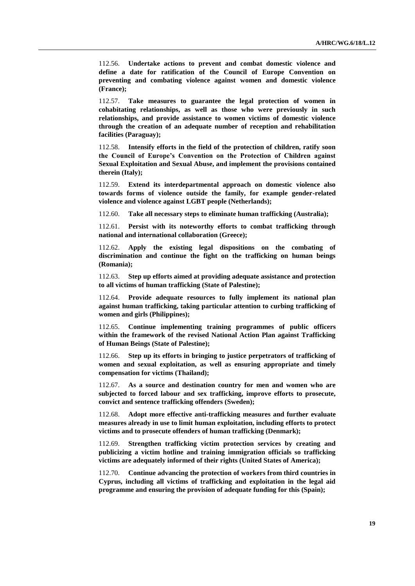112.56. **Undertake actions to prevent and combat domestic violence and define a date for ratification of the Council of Europe Convention on preventing and combating violence against women and domestic violence (France);**

112.57. **Take measures to guarantee the legal protection of women in cohabitating relationships, as well as those who were previously in such relationships, and provide assistance to women victims of domestic violence through the creation of an adequate number of reception and rehabilitation facilities (Paraguay);**

112.58. **Intensify efforts in the field of the protection of children, ratify soon the Council of Europe's Convention on the Protection of Children against Sexual Exploitation and Sexual Abuse, and implement the provisions contained therein (Italy);**

112.59. **Extend its interdepartmental approach on domestic violence also towards forms of violence outside the family, for example gender-related violence and violence against LGBT people (Netherlands);**

112.60. **Take all necessary steps to eliminate human trafficking (Australia);**

112.61. **Persist with its noteworthy efforts to combat trafficking through national and international collaboration (Greece);**

112.62. **Apply the existing legal dispositions on the combating of discrimination and continue the fight on the trafficking on human beings (Romania);** 

112.63. **Step up efforts aimed at providing adequate assistance and protection to all victims of human trafficking (State of Palestine);**

112.64. **Provide adequate resources to fully implement its national plan against human trafficking, taking particular attention to curbing trafficking of women and girls (Philippines);** 

112.65. **Continue implementing training programmes of public officers within the framework of the revised National Action Plan against Trafficking of Human Beings (State of Palestine);**

112.66. **Step up its efforts in bringing to justice perpetrators of trafficking of women and sexual exploitation, as well as ensuring appropriate and timely compensation for victims (Thailand);**

112.67. **As a source and destination country for men and women who are subjected to forced labour and sex trafficking, improve efforts to prosecute, convict and sentence trafficking offenders (Sweden);**

112.68. **Adopt more effective anti-trafficking measures and further evaluate measures already in use to limit human exploitation, including efforts to protect victims and to prosecute offenders of human trafficking (Denmark);** 

112.69. **Strengthen trafficking victim protection services by creating and publicizing a victim hotline and training immigration officials so trafficking victims are adequately informed of their rights (United States of America);** 

112.70. **Continue advancing the protection of workers from third countries in Cyprus, including all victims of trafficking and exploitation in the legal aid programme and ensuring the provision of adequate funding for this (Spain);**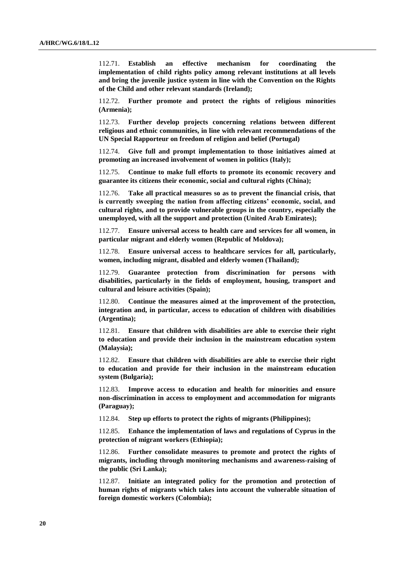112.71. **Establish an effective mechanism for coordinating the implementation of child rights policy among relevant institutions at all levels and bring the juvenile justice system in line with the Convention on the Rights of the Child and other relevant standards (Ireland);**

112.72. **Further promote and protect the rights of religious minorities (Armenia);**

112.73. **Further develop projects concerning relations between different religious and ethnic communities, in line with relevant recommendations of the UN Special Rapporteur on freedom of religion and belief (Portugal)**

112.74. **Give full and prompt implementation to those initiatives aimed at promoting an increased involvement of women in politics (Italy);**

112.75. **Continue to make full efforts to promote its economic recovery and guarantee its citizens their economic, social and cultural rights (China);**

112.76. **Take all practical measures so as to prevent the financial crisis, that is currently sweeping the nation from affecting citizens' economic, social, and cultural rights, and to provide vulnerable groups in the country, especially the unemployed, with all the support and protection (United Arab Emirates);**

112.77. **Ensure universal access to health care and services for all women, in particular migrant and elderly women (Republic of Moldova);**

112.78. **Ensure universal access to healthcare services for all, particularly, women, including migrant, disabled and elderly women (Thailand);**

112.79. **Guarantee protection from discrimination for persons with disabilities, particularly in the fields of employment, housing, transport and cultural and leisure activities (Spain);**

112.80. **Continue the measures aimed at the improvement of the protection, integration and, in particular, access to education of children with disabilities (Argentina);**

112.81. **Ensure that children with disabilities are able to exercise their right to education and provide their inclusion in the mainstream education system (Malaysia);**

112.82. **Ensure that children with disabilities are able to exercise their right to education and provide for their inclusion in the mainstream education system (Bulgaria);**

112.83. **Improve access to education and health for minorities and ensure non-discrimination in access to employment and accommodation for migrants (Paraguay);**

112.84. **Step up efforts to protect the rights of migrants (Philippines);**

112.85. **Enhance the implementation of laws and regulations of Cyprus in the protection of migrant workers (Ethiopia);**

112.86. **Further consolidate measures to promote and protect the rights of migrants, including through monitoring mechanisms and awareness-raising of the public (Sri Lanka);**

112.87. **Initiate an integrated policy for the promotion and protection of human rights of migrants which takes into account the vulnerable situation of foreign domestic workers (Colombia);**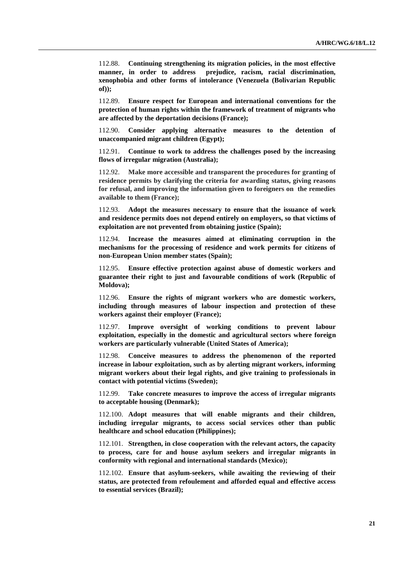112.88. **Continuing strengthening its migration policies, in the most effective manner, in order to address prejudice, racism, racial discrimination, xenophobia and other forms of intolerance (Venezuela (Bolivarian Republic of));**

112.89. **Ensure respect for European and international conventions for the protection of human rights within the framework of treatment of migrants who are affected by the deportation decisions (France);**

112.90. **Consider applying alternative measures to the detention of unaccompanied migrant children (Egypt);** 

112.91. **Continue to work to address the challenges posed by the increasing flows of irregular migration (Australia);**

112.92. **Make more accessible and transparent the procedures for granting of residence permits by clarifying the criteria for awarding status, giving reasons for refusal, and improving the information given to foreigners on the remedies available to them (France);**

112.93. **Adopt the measures necessary to ensure that the issuance of work and residence permits does not depend entirely on employers, so that victims of exploitation are not prevented from obtaining justice (Spain);**

112.94. **Increase the measures aimed at eliminating corruption in the mechanisms for the processing of residence and work permits for citizens of non-European Union member states (Spain);**

112.95. **Ensure effective protection against abuse of domestic workers and guarantee their right to just and favourable conditions of work (Republic of Moldova);**

112.96. **Ensure the rights of migrant workers who are domestic workers, including through measures of labour inspection and protection of these workers against their employer (France);**

112.97. **Improve oversight of working conditions to prevent labour exploitation, especially in the domestic and agricultural sectors where foreign workers are particularly vulnerable (United States of America);**

112.98. **Conceive measures to address the phenomenon of the reported increase in labour exploitation, such as by alerting migrant workers, informing migrant workers about their legal rights, and give training to professionals in contact with potential victims (Sweden);**

112.99. **Take concrete measures to improve the access of irregular migrants to acceptable housing (Denmark);**

112.100. **Adopt measures that will enable migrants and their children, including irregular migrants, to access social services other than public healthcare and school education (Philippines);** 

112.101. **Strengthen, in close cooperation with the relevant actors, the capacity to process, care for and house asylum seekers and irregular migrants in conformity with regional and international standards (Mexico);**

112.102. **Ensure that asylum-seekers, while awaiting the reviewing of their status, are protected from refoulement and afforded equal and effective access to essential services (Brazil);**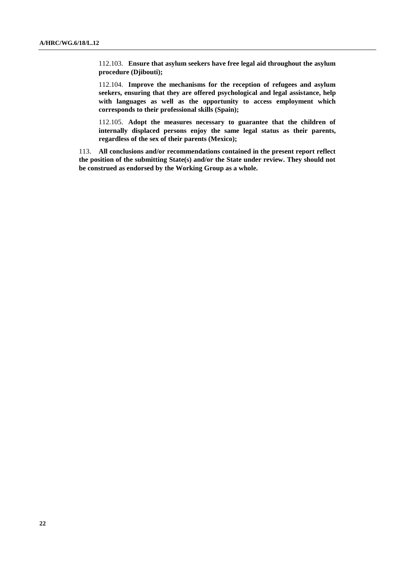112.103. **Ensure that asylum seekers have free legal aid throughout the asylum procedure (Djibouti);**

112.104. **Improve the mechanisms for the reception of refugees and asylum seekers, ensuring that they are offered psychological and legal assistance, help with languages as well as the opportunity to access employment which corresponds to their professional skills (Spain);**

112.105. **Adopt the measures necessary to guarantee that the children of internally displaced persons enjoy the same legal status as their parents, regardless of the sex of their parents (Mexico);**

113. **All conclusions and/or recommendations contained in the present report reflect the position of the submitting State(s) and/or the State under review. They should not be construed as endorsed by the Working Group as a whole.**